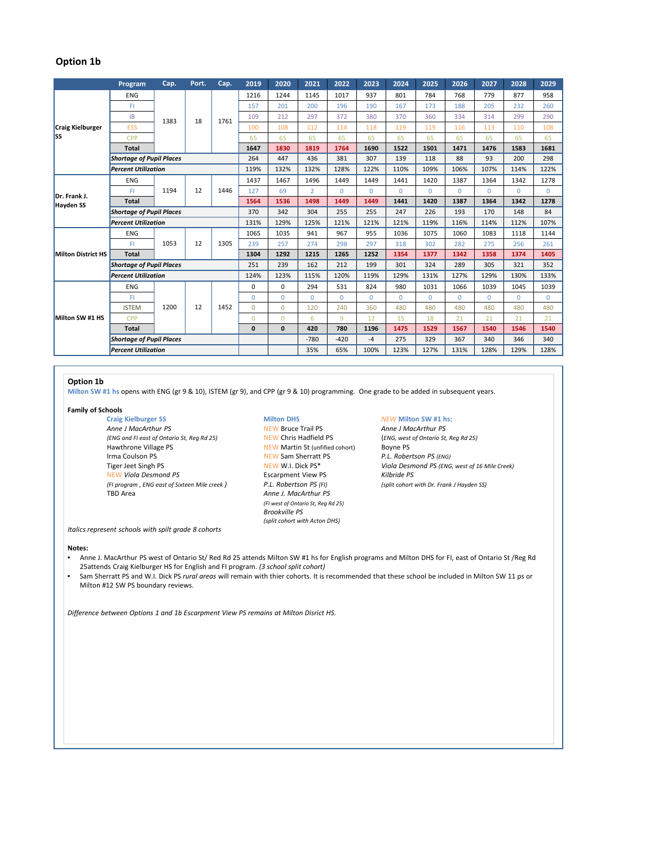# **Option 1b**

|                                  | Program                         | Cap.       | Port. | Cap. | 2019         | 2020         | 2021           | 2022         | 2023     | 2024     | 2025     | 2026     | 2027     | 2028         | 2029        |
|----------------------------------|---------------------------------|------------|-------|------|--------------|--------------|----------------|--------------|----------|----------|----------|----------|----------|--------------|-------------|
| <b>Craig Kielburger</b><br>lss   | <b>ENG</b>                      | 1383       | 18    | 1761 | 1216         | 1244         | 1145           | 1017         | 937      | 801      | 784      | 768      | 779      | 877          | 958         |
|                                  | FI                              |            |       |      | 157          | 201          | 200            | 196          | 190      | 167      | 173      | 188      | 205      | 232          | 260         |
|                                  | <b>IB</b>                       |            |       |      | 109          | 212          | 297            | 372          | 380      | 370      | 360      | 334      | 314      | 299          | 290         |
|                                  | <b>ESS</b>                      |            |       |      | 100          | 108          | 112            | 114          | 118      | 119      | 119      | 116      | 113      | 110          | 108         |
|                                  | CPP                             |            |       |      | 65           | 65           | 65             | 65           | 65       | 65       | 65       | 65       | 65       | 65           | 65          |
|                                  | <b>Total</b>                    |            |       |      | 1647         | 1830         | 1819           | 1764         | 1690     | 1522     | 1501     | 1471     | 1476     | 1583         | 1681        |
|                                  | <b>Shortage of Pupil Places</b> |            |       |      | 264          | 447          | 436            | 381          | 307      | 139      | 118      | 88       | 93       | 200          | 298         |
|                                  | <b>Percent Utilization</b>      |            |       |      | 119%         | 132%         | 132%           | 128%         | 122%     | 110%     | 109%     | 106%     | 107%     | 114%         | 122%        |
| Dr. Frank J.<br><b>Hayden SS</b> | <b>ENG</b>                      | 1194       | 12    | 1446 | 1437         | 1467         | 1496           | 1449         | 1449     | 1441     | 1420     | 1387     | 1364     | 1342         | 1278        |
|                                  | FI                              |            |       |      | 127          | 69           | $\overline{2}$ | $\Omega$     | $\Omega$ | $\Omega$ | $\Omega$ | $\Omega$ | $\Omega$ | $\Omega$     | $\Omega$    |
|                                  | <b>Total</b>                    |            |       |      | 1564         | 1536         | 1498           | 1449         | 1449     | 1441     | 1420     | 1387     | 1364     | 1342         | 1278        |
|                                  | <b>Shortage of Pupil Places</b> |            |       |      | 370          | 342          | 304            | 255          | 255      | 247      | 226      | 193      | 170      | 148          | 84          |
|                                  | <b>Percent Utilization</b>      |            |       |      | 131%         | 129%         | 125%           | 121%         | 121%     | 121%     | 119%     | 116%     | 114%     | 112%         | 107%        |
| <b>Milton District HS</b>        | <b>ENG</b>                      | 1053       | 12    | 1305 | 1065         | 1035         | 941            | 967          | 955      | 1036     | 1075     | 1060     | 1083     | 1118         | 1144        |
|                                  | FI                              |            |       |      | 239          | 257          | 274            | 298          | 297      | 318      | 302      | 282      | 275      | 256          | 261         |
|                                  | <b>Total</b>                    |            |       |      | 1304         | 1292         | 1215           | 1265         | 1252     | 1354     | 1377     | 1342     | 1358     | 1374         | 1405        |
|                                  | <b>Shortage of Pupil Places</b> |            |       |      | 251          | 239          | 162            | 212          | 199      | 301      | 324      | 289      | 305      | 321          | 352         |
|                                  | <b>Percent Utilization</b>      |            |       |      | 124%         | 123%         | 115%           | 120%         | 119%     | 129%     | 131%     | 127%     | 129%     | 130%         | 133%        |
| Milton SW #1 HS                  | <b>ENG</b>                      | 1200<br>12 |       | 1452 | $\mathbf 0$  | $\Omega$     | 294            | 531          | 824      | 980      | 1031     | 1066     | 1039     | 1045         | 1039        |
|                                  | FI                              |            |       |      | $\mathbf{0}$ | $\Omega$     | $\Omega$       | $\mathbf{0}$ | $\Omega$ | $\Omega$ | $\Omega$ | $\Omega$ | $\Omega$ | $\mathbf{0}$ | $\mathbf 0$ |
|                                  | <b>ISTEM</b>                    |            |       |      | $\Omega$     | $\Omega$     | 120            | 240          | 360      | 480      | 480      | 480      | 480      | 480          | 480         |
|                                  | CPP                             |            |       |      | $\Omega$     | $\Omega$     | 6              | 9            | 12       | 15       | 18       | 21       | 21       | 21           | 21          |
|                                  | <b>Total</b>                    |            |       |      | $\mathbf{0}$ | $\mathbf{0}$ | 420            | 780          | 1196     | 1475     | 1529     | 1567     | 1540     | 1546         | 1540        |
|                                  | <b>Shortage of Pupil Places</b> |            |       |      |              |              | $-780$         | $-420$       | $-4$     | 275      | 329      | 367      | 340      | 346          | 340         |
|                                  | <b>Percent Utilization</b>      |            |       |      |              |              | 35%            | 65%          | 100%     | 123%     | 127%     | 131%     | 128%     | 129%         | 128%        |

## **Option 1b**

**Milton SW #1 hs** opens with ENG (gr 9 & 10), ISTEM (gr 9), and CPP (gr 9 & 10) programming. One grade to be added in subsequent years.

**Family of Schools**

**Craig** Kielburger SS **Milton DHS MEW Milton SW #1 hs:**<br> **Anne J MacArthur PS MEW Bruce Trail PS Anne J MacArthur PS** *Anne J MacArthur PS* **Anne** *J MacArthur PS PS 1989 REW Bruce Trail PS Anne J MacArthur PS Anne J MacArthur PS (ENG, west of Ontario St, Reg Rd 25) Reg Rd 25) NEW Chris Hadfield PS (ENG, west of Ontari* (ENG and FI east of Ontario St, Reg Rd 25) Hawthrone Village PS<br>
Irma Coulson PS<br>
Irma Coulson PS (ENG)<br>
NEW Sam Sherratt PS<br>
P.L. Robertson PS (ENG) NEW *Viola Desmond PS* Escarpment View PS *Kilbride PS* (FI program, ENG east of Sixteen Mile creek)<br>TBD Area

**INEW Sam Sherratt PS**<br>*REW W.I. Dick PS***<sup>\*</sup>** Anne *J. MacArthur PS (FI west of Ontario St, Reg Rd 25) Brookville PS (split cohort with Acton DHS)*

Tiger Jeet Singh PS NEW W.I. Dick PS\* *Viola Desmond PS (ENG, west of 16 Mile Creek)*

*Italics represent schools with spilt grade 8 cohorts*

### **Notes:**

- Anne J. MacArthur PS west of Ontario St/ Red Rd 25 attends Milton SW #1 hs for English programs and Milton DHS for FI, east of Ontario St /Reg Rd 25attends Craig Kielburger HS for English and FI program. *(3 school split cohort)*
- Sam Sherratt PS and W.I. Dick PS *rural areas* will remain with thier cohorts. It is recommended that these school be included in Milton SW 11 ps or Milton #12 SW PS boundary reviews.

*Difference between Options 1 and 1b Escarpment View PS remains at Milton Disrict HS.*